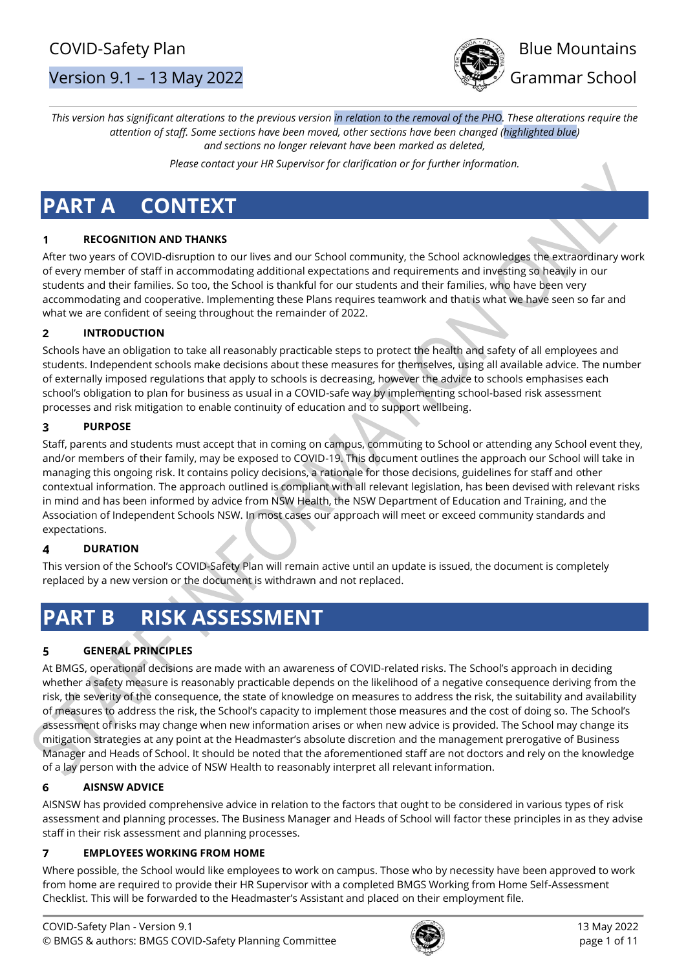



*This version has significant alterations to the previous version in relation to the removal of the PHO. These alterations require the attention of staff. Some sections have been moved, other sections have been changed (highlighted blue) and sections no longer relevant have been marked as deleted,* 

*Please contact your HR Supervisor for clarification or for further information.*

# **PART A CONTEXT**

# **RECOGNITION AND THANKS**

After two years of COVID-disruption to our lives and our School community, the School acknowledges the extraordinary work of every member of staff in accommodating additional expectations and requirements and investing so heavily in our students and their families. So too, the School is thankful for our students and their families, who have been very accommodating and cooperative. Implementing these Plans requires teamwork and that is what we have seen so far and what we are confident of seeing throughout the remainder of 2022.

#### $\overline{\mathbf{z}}$ **INTRODUCTION**

Schools have an obligation to take all reasonably practicable steps to protect the health and safety of all employees and students. Independent schools make decisions about these measures for themselves, using all available advice. The number of externally imposed regulations that apply to schools is decreasing, however the advice to schools emphasises each school's obligation to plan for business as usual in a COVID-safe way by implementing school-based risk assessment processes and risk mitigation to enable continuity of education and to support wellbeing.

#### $\overline{\mathbf{3}}$ **PURPOSE**

Staff, parents and students must accept that in coming on campus, commuting to School or attending any School event they, and/or members of their family, may be exposed to COVID-19. This document outlines the approach our School will take in managing this ongoing risk. It contains policy decisions, a rationale for those decisions, guidelines for staff and other contextual information. The approach outlined is compliant with all relevant legislation, has been devised with relevant risks in mind and has been informed by advice from NSW Health, the NSW Department of Education and Training, and the Association of Independent Schools NSW. In most cases our approach will meet or exceed community standards and expectations.

#### $\overline{\mathbf{4}}$ **DURATION**

This version of the School's COVID-Safety Plan will remain active until an update is issued, the document is completely replaced by a new version or the document is withdrawn and not replaced.

# **PART B RISK ASSESSMENT**

#### **GENERAL PRINCIPLES** 5

At BMGS, operational decisions are made with an awareness of COVID-related risks. The School's approach in deciding whether a safety measure is reasonably practicable depends on the likelihood of a negative consequence deriving from the risk, the severity of the consequence, the state of knowledge on measures to address the risk, the suitability and availability of measures to address the risk, the School's capacity to implement those measures and the cost of doing so. The School's assessment of risks may change when new information arises or when new advice is provided. The School may change its mitigation strategies at any point at the Headmaster's absolute discretion and the management prerogative of Business Manager and Heads of School. It should be noted that the aforementioned staff are not doctors and rely on the knowledge of a lay person with the advice of NSW Health to reasonably interpret all relevant information.

#### **AISNSW ADVICE** 6

AISNSW has provided comprehensive advice in relation to the factors that ought to be considered in various types of risk assessment and planning processes. The Business Manager and Heads of School will factor these principles in as they advise staff in their risk assessment and planning processes.

#### $\overline{7}$ **EMPLOYEES WORKING FROM HOME**

Where possible, the School would like employees to work on campus. Those who by necessity have been approved to work from home are required to provide their HR Supervisor with a completed BMGS Working from Home Self-Assessment Checklist. This will be forwarded to the Headmaster's Assistant and placed on their employment file.

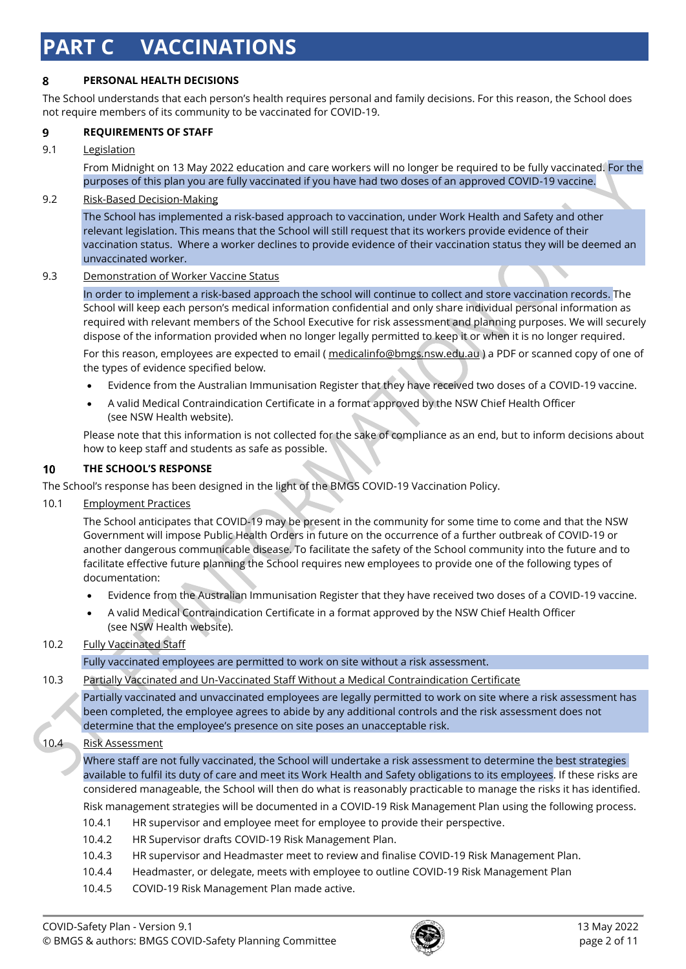# **PART C VACCINATIONS**

#### 8 **PERSONAL HEALTH DECISIONS**

The School understands that each person's health requires personal and family decisions. For this reason, the School does not require members of its community to be vaccinated for COVID-19.

#### 9 **REQUIREMENTS OF STAFF**

## 9.1 Legislation

From Midnight on 13 May 2022 education and care workers will no longer be required to be fully vaccinated. For the purposes of this plan you are fully vaccinated if you have had two doses of an approved COVID-19 vaccine.

## 9.2 Risk-Based Decision-Making

The School has implemented a risk-based approach to vaccination, under Work Health and Safety and other relevant legislation. This means that the School will still request that its workers provide evidence of their vaccination status. Where a worker declines to provide evidence of their vaccination status they will be deemed an unvaccinated worker.

#### 9.3 Demonstration of Worker Vaccine Status

In order to implement a risk-based approach the school will continue to collect and store vaccination records. The School will keep each person's medical information confidential and only share individual personal information as required with relevant members of the School Executive for risk assessment and planning purposes. We will securely dispose of the information provided when no longer legally permitted to keep it or when it is no longer required.

For this reason, employees are expected to email (*medicalinfo@bmgs.nsw.edu.au*) a PDF or scanned copy of one of the types of evidence specified below.

- Evidence from the Australian Immunisation Register that they have received two doses of a COVID-19 vaccine.
- A valid Medical Contraindication Certificate in a format approved by the NSW Chief Health Officer (see NSW Health website).

Please note that this information is not collected for the sake of compliance as an end, but to inform decisions about how to keep staff and students as safe as possible.

#### 10 **THE SCHOOL'S RESPONSE**

The School's response has been designed in the light of the BMGS COVID-19 Vaccination Policy.

10.1 Employment Practices

The School anticipates that COVID-19 may be present in the community for some time to come and that the NSW Government will impose Public Health Orders in future on the occurrence of a further outbreak of COVID-19 or another dangerous communicable disease. To facilitate the safety of the School community into the future and to facilitate effective future planning the School requires new employees to provide one of the following types of documentation:

- Evidence from the Australian Immunisation Register that they have received two doses of a COVID-19 vaccine.
- A valid Medical Contraindication Certificate in a format approved by the NSW Chief Health Officer (see NSW Health website).

# 10.2 Fully Vaccinated Staff

Fully vaccinated employees are permitted to work on site without a risk assessment.

#### 10.3 Partially Vaccinated and Un-Vaccinated Staff Without a Medical Contraindication Certificate

Partially vaccinated and unvaccinated employees are legally permitted to work on site where a risk assessment has been completed, the employee agrees to abide by any additional controls and the risk assessment does not determine that the employee's presence on site poses an unacceptable risk.

# 10.4 Risk Assessment

Where staff are not fully vaccinated, the School will undertake a risk assessment to determine the best strategies available to fulfil its duty of care and meet its Work Health and Safety obligations to its employees. If these risks are considered manageable, the School will then do what is reasonably practicable to manage the risks it has identified. Risk management strategies will be documented in a COVID-19 Risk Management Plan using the following process.

- 10.4.1 HR supervisor and employee meet for employee to provide their perspective.
- 10.4.2 HR Supervisor drafts COVID-19 Risk Management Plan.
- 10.4.3 HR supervisor and Headmaster meet to review and finalise COVID-19 Risk Management Plan.
- 10.4.4 Headmaster, or delegate, meets with employee to outline COVID-19 Risk Management Plan
- 10.4.5 COVID-19 Risk Management Plan made active.

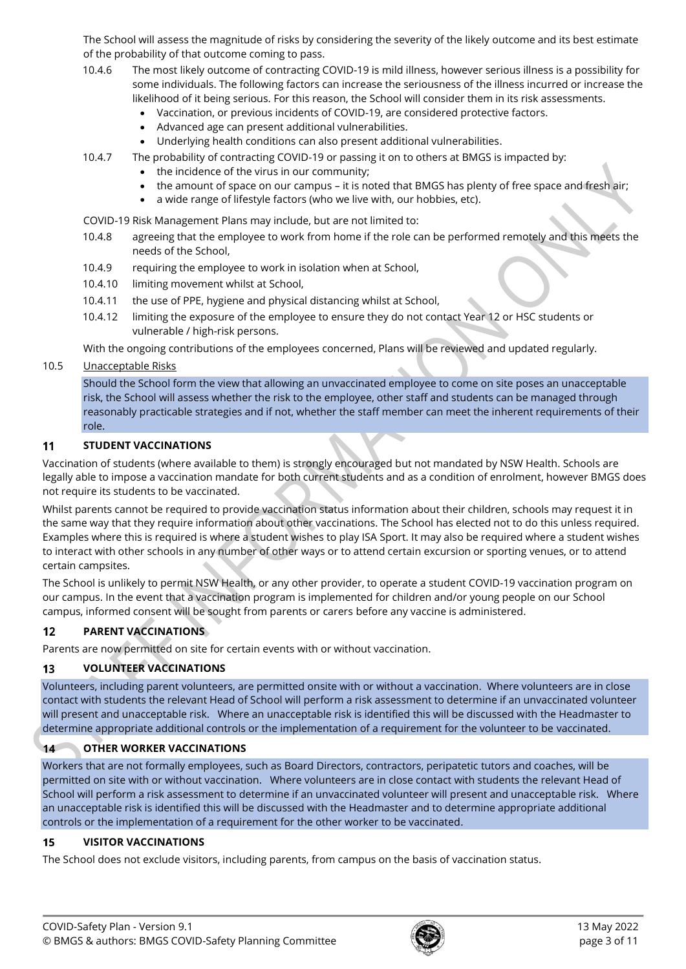The School will assess the magnitude of risks by considering the severity of the likely outcome and its best estimate of the probability of that outcome coming to pass.

- 10.4.6 The most likely outcome of contracting COVID-19 is mild illness, however serious illness is a possibility for some individuals. The following factors can increase the seriousness of the illness incurred or increase the likelihood of it being serious. For this reason, the School will consider them in its risk assessments.
	- Vaccination, or previous incidents of COVID-19, are considered protective factors.
	- Advanced age can present additional vulnerabilities.
	- Underlying health conditions can also present additional vulnerabilities.
- 10.4.7 The probability of contracting COVID-19 or passing it on to others at BMGS is impacted by:
	- the incidence of the virus in our community;
		- the amount of space on our campus it is noted that BMGS has plenty of free space and fresh air;
	- a wide range of lifestyle factors (who we live with, our hobbies, etc).
- COVID-19 Risk Management Plans may include, but are not limited to:
- 10.4.8 agreeing that the employee to work from home if the role can be performed remotely and this meets the needs of the School,
- 10.4.9 requiring the employee to work in isolation when at School,
- 10.4.10 limiting movement whilst at School,
- 10.4.11 the use of PPE, hygiene and physical distancing whilst at School,
- 10.4.12 limiting the exposure of the employee to ensure they do not contact Year 12 or HSC students or vulnerable / high-risk persons.

With the ongoing contributions of the employees concerned, Plans will be reviewed and updated regularly.

## 10.5 Unacceptable Risks

Should the School form the view that allowing an unvaccinated employee to come on site poses an unacceptable risk, the School will assess whether the risk to the employee, other staff and students can be managed through reasonably practicable strategies and if not, whether the staff member can meet the inherent requirements of their role.

#### 11 **STUDENT VACCINATIONS**

Vaccination of students (where available to them) is strongly encouraged but not mandated by NSW Health. Schools are legally able to impose a vaccination mandate for both current students and as a condition of enrolment, however BMGS does not require its students to be vaccinated.

Whilst parents cannot be required to provide vaccination status information about their children, schools may request it in the same way that they require information about other vaccinations. The School has elected not to do this unless required. Examples where this is required is where a student wishes to play ISA Sport. It may also be required where a student wishes to interact with other schools in any number of other ways or to attend certain excursion or sporting venues, or to attend certain campsites.

The School is unlikely to permit NSW Health, or any other provider, to operate a student COVID-19 vaccination program on our campus. In the event that a vaccination program is implemented for children and/or young people on our School campus, informed consent will be sought from parents or carers before any vaccine is administered.

#### $12$ **PARENT VACCINATIONS**

Parents are now permitted on site for certain events with or without vaccination.

#### **VOLUNTEER VACCINATIONS** 13

Volunteers, including parent volunteers, are permitted onsite with or without a vaccination. Where volunteers are in close contact with students the relevant Head of School will perform a risk assessment to determine if an unvaccinated volunteer will present and unacceptable risk. Where an unacceptable risk is identified this will be discussed with the Headmaster to determine appropriate additional controls or the implementation of a requirement for the volunteer to be vaccinated.

#### **OTHER WORKER VACCINATIONS**  $14$

Workers that are not formally employees, such as Board Directors, contractors, peripatetic tutors and coaches, will be permitted on site with or without vaccination. Where volunteers are in close contact with students the relevant Head of School will perform a risk assessment to determine if an unvaccinated volunteer will present and unacceptable risk. Where an unacceptable risk is identified this will be discussed with the Headmaster and to determine appropriate additional controls or the implementation of a requirement for the other worker to be vaccinated.

#### **VISITOR VACCINATIONS** 15

The School does not exclude visitors, including parents, from campus on the basis of vaccination status.

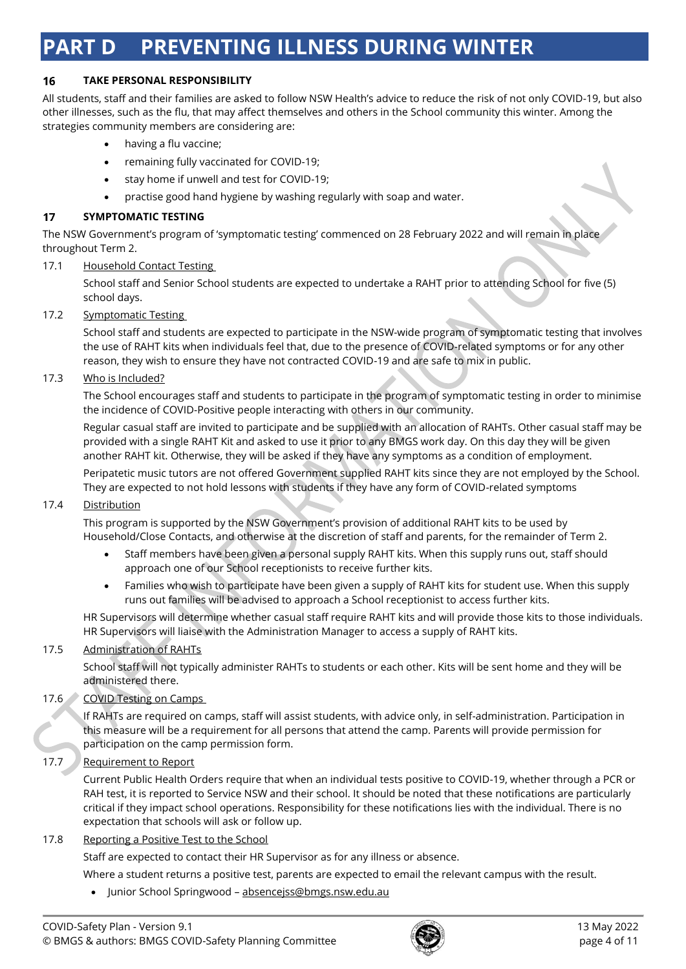# **PART D PREVENTING ILLNESS DURING WINTER**

#### 16 **TAKE PERSONAL RESPONSIBILITY**

All students, staff and their families are asked to follow NSW Health's advice to reduce the risk of not only COVID-19, but also other illnesses, such as the flu, that may affect themselves and others in the School community this winter. Among the strategies community members are considering are:

- having a flu vaccine;
- remaining fully vaccinated for COVID-19;
- stay home if unwell and test for COVID-19;
- practise good hand hygiene by washing regularly with soap and water.

#### $17$ **SYMPTOMATIC TESTING**

The NSW Government's program of 'symptomatic testing' commenced on 28 February 2022 and will remain in place throughout Term 2.

## 17.1 Household Contact Testing

School staff and Senior School students are expected to undertake a RAHT prior to attending School for five (5) school days.

## 17.2 Symptomatic Testing

School staff and students are expected to participate in the NSW-wide program of symptomatic testing that involves the use of RAHT kits when individuals feel that, due to the presence of COVID-related symptoms or for any other reason, they wish to ensure they have not contracted COVID-19 and are safe to mix in public.

## 17.3 Who is Included?

The School encourages staff and students to participate in the program of symptomatic testing in order to minimise the incidence of COVID-Positive people interacting with others in our community.

Regular casual staff are invited to participate and be supplied with an allocation of RAHTs. Other casual staff may be provided with a single RAHT Kit and asked to use it prior to any BMGS work day. On this day they will be given another RAHT kit. Otherwise, they will be asked if they have any symptoms as a condition of employment.

Peripatetic music tutors are not offered Government supplied RAHT kits since they are not employed by the School. They are expected to not hold lessons with students if they have any form of COVID-related symptoms

#### 17.4 Distribution

This program is supported by the NSW Government's provision of additional RAHT kits to be used by Household/Close Contacts, and otherwise at the discretion of staff and parents, for the remainder of Term 2.

- Staff members have been given a personal supply RAHT kits. When this supply runs out, staff should approach one of our School receptionists to receive further kits.
- Families who wish to participate have been given a supply of RAHT kits for student use. When this supply runs out families will be advised to approach a School receptionist to access further kits.

HR Supervisors will determine whether casual staff require RAHT kits and will provide those kits to those individuals. HR Supervisors will liaise with the Administration Manager to access a supply of RAHT kits.

# 17.5 Administration of RAHTs

School staff will not typically administer RAHTs to students or each other. Kits will be sent home and they will be administered there.

# 17.6 COVID Testing on Camps

If RAHTs are required on camps, staff will assist students, with advice only, in self-administration. Participation in this measure will be a requirement for all persons that attend the camp. Parents will provide permission for participation on the camp permission form.

# 17.7 Requirement to Report

Current Public Health Orders require that when an individual tests positive to COVID-19, whether through a PCR or RAH test, it is reported to Service NSW and their school. It should be noted that these notifications are particularly critical if they impact school operations. Responsibility for these notifications lies with the individual. There is no expectation that schools will ask or follow up.

#### 17.8 Reporting a Positive Test to the School

Staff are expected to contact their HR Supervisor as for any illness or absence.

Where a student returns a positive test, parents are expected to email the relevant campus with the result.

• Junior School Springwood - [absencejss@bmgs.nsw.edu.au](mailto:absencejss@bmgs.nsw.edu.au)

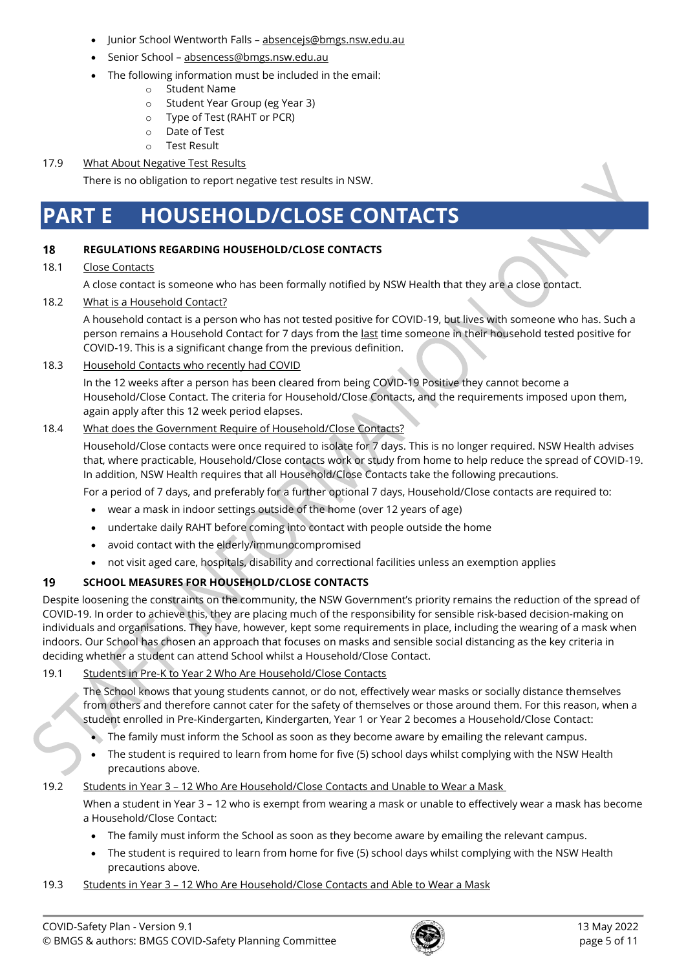- Junior School Wentworth Falls [absencejs@bmgs.nsw.edu.au](mailto:absencejs@bmgs.nsw.edu.au)
- Senior School [absencess@bmgs.nsw.edu.au](mailto:absencess@bmgs.nsw.edu.au)
- The following information must be included in the email:
	- o Student Name
		- o Student Year Group (eg Year 3)
		- o Type of Test (RAHT or PCR)
		- o Date of Test
		- o Test Result

# 17.9 What About Negative Test Results

There is no obligation to report negative test results in NSW.

# **PART E HOUSEHOLD/CLOSE CONTACTS**

#### 18 **REGULATIONS REGARDING HOUSEHOLD/CLOSE CONTACTS**

## 18.1 Close Contacts

A close contact is someone who has been formally notified by NSW Health that they are a close contact.

# 18.2 What is a Household Contact?

A household contact is a person who has not tested positive for COVID-19, but lives with someone who has. Such a person remains a Household Contact for 7 days from the last time someone in their household tested positive for COVID-19. This is a significant change from the previous definition.

## 18.3 Household Contacts who recently had COVID

In the 12 weeks after a person has been cleared from being COVID-19 Positive they cannot become a Household/Close Contact. The criteria for Household/Close Contacts, and the requirements imposed upon them, again apply after this 12 week period elapses.

## 18.4 What does the Government Require of Household/Close Contacts?

Household/Close contacts were once required to isolate for 7 days. This is no longer required. NSW Health advises that, where practicable, Household/Close contacts work or study from home to help reduce the spread of COVID-19. In addition, NSW Health requires that all Household/Close Contacts take the following precautions.

For a period of 7 days, and preferably for a further optional 7 days, Household/Close contacts are required to:

- wear a mask in indoor settings outside of the home (over 12 years of age)
- undertake daily RAHT before coming into contact with people outside the home
- avoid contact with the elderly/immunocompromised
- not visit aged care, hospitals, disability and correctional facilities unless an exemption applies

#### 19 **SCHOOL MEASURES FOR HOUSEHOLD/CLOSE CONTACTS**

Despite loosening the constraints on the community, the NSW Government's priority remains the reduction of the spread of COVID-19. In order to achieve this, they are placing much of the responsibility for sensible risk-based decision-making on individuals and organisations. They have, however, kept some requirements in place, including the wearing of a mask when indoors. Our School has chosen an approach that focuses on masks and sensible social distancing as the key criteria in deciding whether a student can attend School whilst a Household/Close Contact.

# 19.1 Students in Pre-K to Year 2 Who Are Household/Close Contacts

The School knows that young students cannot, or do not, effectively wear masks or socially distance themselves from others and therefore cannot cater for the safety of themselves or those around them. For this reason, when a student enrolled in Pre-Kindergarten, Kindergarten, Year 1 or Year 2 becomes a Household/Close Contact:

- The family must inform the School as soon as they become aware by emailing the relevant campus.
- The student is required to learn from home for five (5) school days whilst complying with the NSW Health precautions above.

#### 19.2 Students in Year 3 - 12 Who Are Household/Close Contacts and Unable to Wear a Mask

When a student in Year 3 – 12 who is exempt from wearing a mask or unable to effectively wear a mask has become a Household/Close Contact:

- The family must inform the School as soon as they become aware by emailing the relevant campus.
- The student is required to learn from home for five (5) school days whilst complying with the NSW Health precautions above.

#### 19.3 Students in Year 3 – 12 Who Are Household/Close Contacts and Able to Wear a Mask

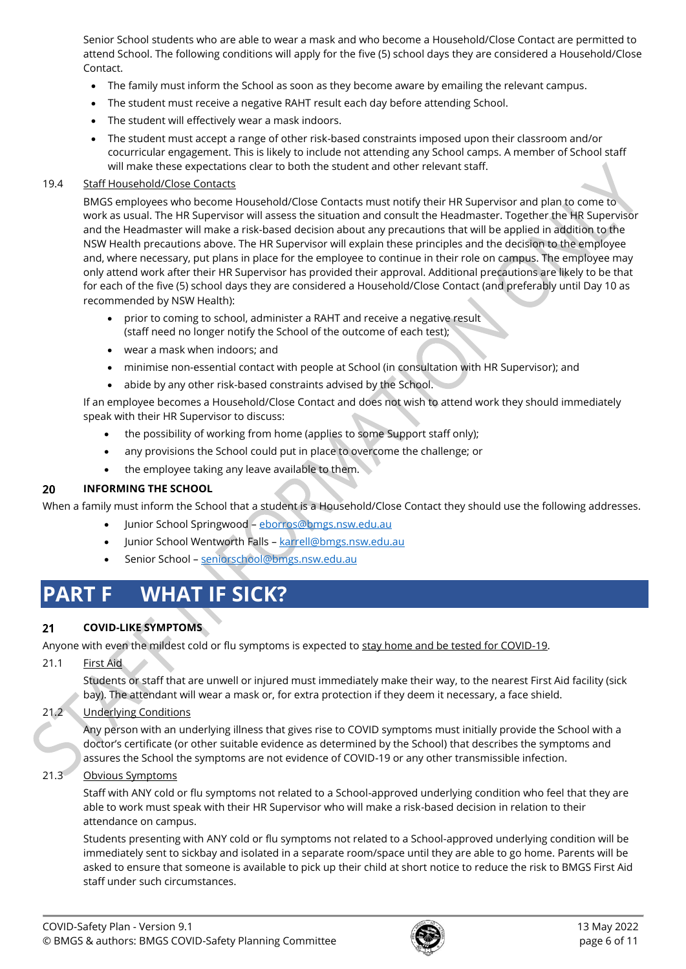Senior School students who are able to wear a mask and who become a Household/Close Contact are permitted to attend School. The following conditions will apply for the five (5) school days they are considered a Household/Close Contact.

- The family must inform the School as soon as they become aware by emailing the relevant campus.
- The student must receive a negative RAHT result each day before attending School.
- The student will effectively wear a mask indoors.
- The student must accept a range of other risk-based constraints imposed upon their classroom and/or cocurricular engagement. This is likely to include not attending any School camps. A member of School staff will make these expectations clear to both the student and other relevant staff.

### 19.4 Staff Household/Close Contacts

BMGS employees who become Household/Close Contacts must notify their HR Supervisor and plan to come to work as usual. The HR Supervisor will assess the situation and consult the Headmaster. Together the HR Supervisor and the Headmaster will make a risk-based decision about any precautions that will be applied in addition to the NSW Health precautions above. The HR Supervisor will explain these principles and the decision to the employee and, where necessary, put plans in place for the employee to continue in their role on campus. The employee may only attend work after their HR Supervisor has provided their approval. Additional precautions are likely to be that for each of the five (5) school days they are considered a Household/Close Contact (and preferably until Day 10 as recommended by NSW Health):

- prior to coming to school, administer a RAHT and receive a negative result (staff need no longer notify the School of the outcome of each test);
- wear a mask when indoors; and
- minimise non-essential contact with people at School (in consultation with HR Supervisor); and
- abide by any other risk-based constraints advised by the School.

If an employee becomes a Household/Close Contact and does not wish to attend work they should immediately speak with their HR Supervisor to discuss:

- the possibility of working from home (applies to some Support staff only);
- any provisions the School could put in place to overcome the challenge; or
- the employee taking any leave available to them.

#### 20 **INFORMING THE SCHOOL**

When a family must inform the School that a student is a Household/Close Contact they should use the following addresses.

- Junior School Springwood [eborros@bmgs.nsw.edu.au](mailto:eborros@bmgs.nsw.edu.au)
- Junior School Wentworth Falls [karrell@bmgs.nsw.edu.au](mailto:karrell@bmgs.nsw.edu.au)
- Senior School [seniorschool@bmgs.nsw.edu.au](mailto:seniorschool@bmgs.nsw.edu.au)

# **PART F WHAT IF SICK?**

#### **COVID-LIKE SYMPTOMS**  $21$

Anyone with even the mildest cold or flu symptoms is expected to stay home and be tested for COVID-19.

21.1 First Aid

Students or staff that are unwell or injured must immediately make their way, to the nearest First Aid facility (sick bay). The attendant will wear a mask or, for extra protection if they deem it necessary, a face shield.

# 21.2 Underlying Conditions

Any person with an underlying illness that gives rise to COVID symptoms must initially provide the School with a doctor's certificate (or other suitable evidence as determined by the School) that describes the symptoms and assures the School the symptoms are not evidence of COVID-19 or any other transmissible infection.

# 21.3 Obvious Symptoms

Staff with ANY cold or flu symptoms not related to a School-approved underlying condition who feel that they are able to work must speak with their HR Supervisor who will make a risk-based decision in relation to their attendance on campus.

Students presenting with ANY cold or flu symptoms not related to a School-approved underlying condition will be immediately sent to sickbay and isolated in a separate room/space until they are able to go home. Parents will be asked to ensure that someone is available to pick up their child at short notice to reduce the risk to BMGS First Aid staff under such circumstances.

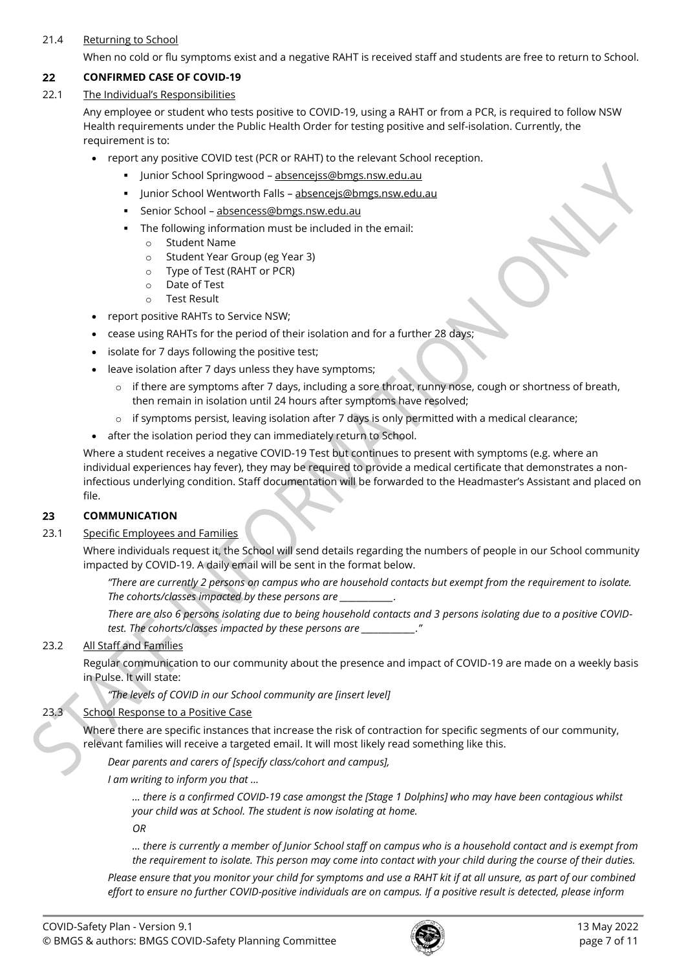# 21.4 Returning to School

When no cold or flu symptoms exist and a negative RAHT is received staff and students are free to return to School.

#### 22 **CONFIRMED CASE OF COVID-19**

# 22.1 The Individual's Responsibilities

Any employee or student who tests positive to COVID-19, using a RAHT or from a PCR, is required to follow NSW Health requirements under the Public Health Order for testing positive and self-isolation. Currently, the requirement is to:

- report any positive COVID test (PCR or RAHT) to the relevant School reception.
	- **·** Junior School Springwood [absencejss@bmgs.nsw.edu.au](mailto:absencejss@bmgs.nsw.edu.au)
	- Junior School Wentworth Falls absenceis@bmgs.nsw.edu.au
	- **EXEC** Senior School [absencess@bmgs.nsw.edu.au](mailto:absencess@bmgs.nsw.edu.au)
	- The following information must be included in the email:
		- o Student Name
		- o Student Year Group (eg Year 3)
		- o Type of Test (RAHT or PCR)
		- o Date of Test
		- o Test Result
- report positive RAHTs to Service NSW;
- cease using RAHTs for the period of their isolation and for a further 28 days;
- isolate for 7 days following the positive test;
- leave isolation after 7 days unless they have symptoms;
	- $\circ$  if there are symptoms after 7 days, including a sore throat, runny nose, cough or shortness of breath, then remain in isolation until 24 hours after symptoms have resolved;
	- $\circ$  if symptoms persist, leaving isolation after 7 days is only permitted with a medical clearance;
- after the isolation period they can immediately return to School.

Where a student receives a negative COVID-19 Test but continues to present with symptoms (e.g. where an individual experiences hay fever), they may be required to provide a medical certificate that demonstrates a noninfectious underlying condition. Staff documentation will be forwarded to the Headmaster's Assistant and placed on file.

#### 23 **COMMUNICATION**

#### 23.1 Specific Employees and Families

Where individuals request it, the School will send details regarding the numbers of people in our School community impacted by COVID-19. A daily email will be sent in the format below.

*"There are currently 2 persons on campus who are household contacts but exempt from the requirement to isolate. The cohorts/classes impacted by these persons are \_\_\_\_\_\_\_\_\_\_\_\_\_.*

*There are also 6 persons isolating due to being household contacts and 3 persons isolating due to a positive COVIDtest. The cohorts/classes impacted by these persons are \_\_\_\_\_\_\_\_\_\_\_\_\_."*

# 23.2 All Staff and Families

Regular communication to our community about the presence and impact of COVID-19 are made on a weekly basis in Pulse. It will state:

*"The levels of COVID in our School community are [insert level]* 

# 23.3 School Response to a Positive Case

Where there are specific instances that increase the risk of contraction for specific segments of our community, relevant families will receive a targeted email. It will most likely read something like this.

*Dear parents and carers of [specify class/cohort and campus],*

*I am writing to inform you that …*

*… there is a confirmed COVID-19 case amongst the [Stage 1 Dolphins] who may have been contagious whilst your child was at School. The student is now isolating at home.*

*OR* 

*… there is currently a member of Junior School staff on campus who is a household contact and is exempt from the requirement to isolate. This person may come into contact with your child during the course of their duties.*

*Please ensure that you monitor your child for symptoms and use a RAHT kit if at all unsure, as part of our combined effort to ensure no further COVID-positive individuals are on campus. If a positive result is detected, please inform* 

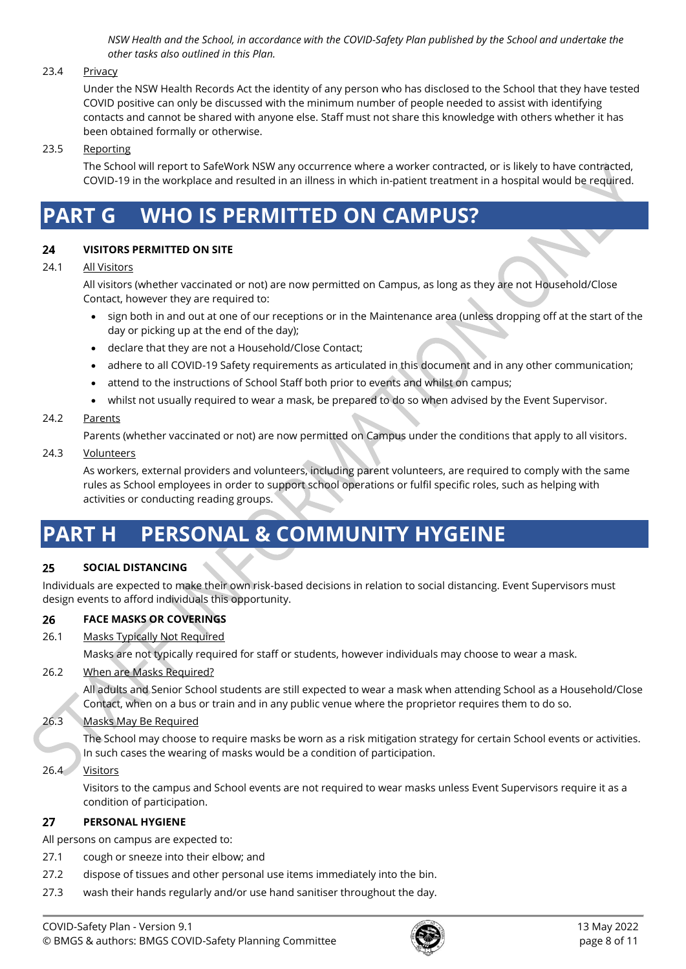*NSW Health and the School, in accordance with the COVID-Safety Plan published by the School and undertake the other tasks also outlined in this Plan.*

### 23.4 Privacy

Under the NSW Health Records Act the identity of any person who has disclosed to the School that they have tested COVID positive can only be discussed with the minimum number of people needed to assist with identifying contacts and cannot be shared with anyone else. Staff must not share this knowledge with others whether it has been obtained formally or otherwise.

### 23.5 Reporting

The School will report to SafeWork NSW any occurrence where a worker contracted, or is likely to have contracted, COVID-19 in the workplace and resulted in an illness in which in-patient treatment in a hospital would be required.

# **PART G WHO IS PERMITTED ON CAMPUS?**

#### 24 **VISITORS PERMITTED ON SITE**

#### 24.1 All Visitors

All visitors (whether vaccinated or not) are now permitted on Campus, as long as they are not Household/Close Contact, however they are required to:

- sign both in and out at one of our receptions or in the Maintenance area (unless dropping off at the start of the day or picking up at the end of the day);
- declare that they are not a Household/Close Contact;
- adhere to all COVID-19 Safety requirements as articulated in this document and in any other communication;
- attend to the instructions of School Staff both prior to events and whilst on campus;
- whilst not usually required to wear a mask, be prepared to do so when advised by the Event Supervisor.

## 24.2 Parents

Parents (whether vaccinated or not) are now permitted on Campus under the conditions that apply to all visitors.

#### 24.3 Volunteers

As workers, external providers and volunteers, including parent volunteers, are required to comply with the same rules as School employees in order to support school operations or fulfil specific roles, such as helping with activities or conducting reading groups.

# **PART H PERSONAL & COMMUNITY HYGEINE**

#### **SOCIAL DISTANCING** 25

Individuals are expected to make their own risk-based decisions in relation to social distancing. Event Supervisors must design events to afford individuals this opportunity.

#### 26 **FACE MASKS OR COVERINGS**

#### 26.1 Masks Typically Not Required

Masks are not typically required for staff or students, however individuals may choose to wear a mask.

#### 26.2 When are Masks Required?

All adults and Senior School students are still expected to wear a mask when attending School as a Household/Close Contact, when on a bus or train and in any public venue where the proprietor requires them to do so.

# 26.3 Masks May Be Required

The School may choose to require masks be worn as a risk mitigation strategy for certain School events or activities. In such cases the wearing of masks would be a condition of participation.

#### 26.4 Visitors

Visitors to the campus and School events are not required to wear masks unless Event Supervisors require it as a condition of participation.

#### $27$ **PERSONAL HYGIENE**

All persons on campus are expected to:

- 27.1 cough or sneeze into their elbow; and
- 27.2 dispose of tissues and other personal use items immediately into the bin.
- 27.3 wash their hands regularly and/or use hand sanitiser throughout the day.

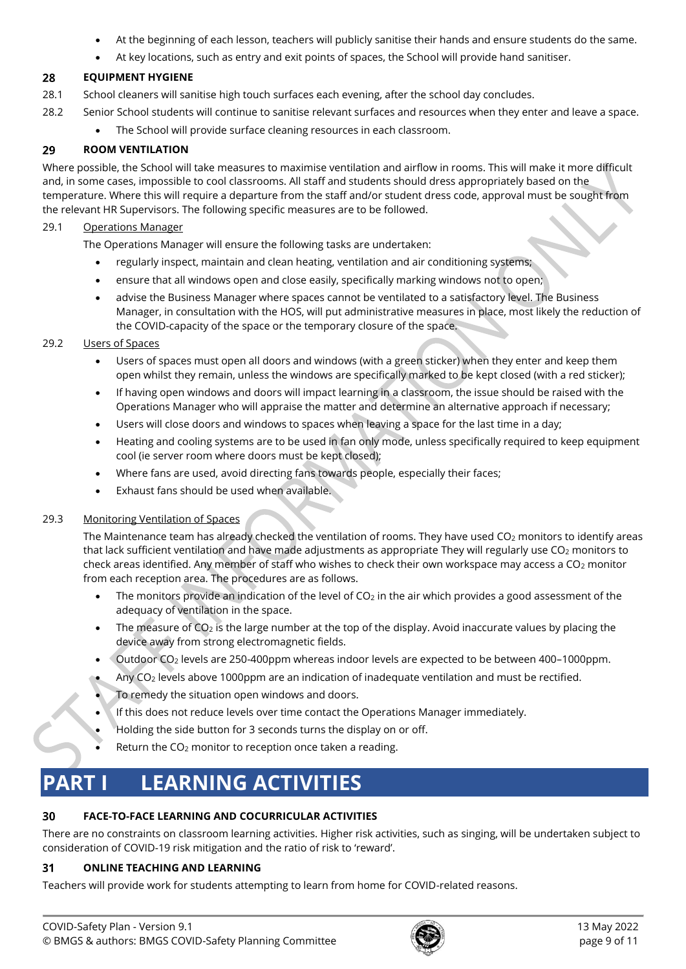- At the beginning of each lesson, teachers will publicly sanitise their hands and ensure students do the same.
- At key locations, such as entry and exit points of spaces, the School will provide hand sanitiser.

#### 28 **EQUIPMENT HYGIENE**

- 28.1 School cleaners will sanitise high touch surfaces each evening, after the school day concludes.
- 28.2 Senior School students will continue to sanitise relevant surfaces and resources when they enter and leave a space.
	- The School will provide surface cleaning resources in each classroom.

#### 29 **ROOM VENTILATION**

Where possible, the School will take measures to maximise ventilation and airflow in rooms. This will make it more difficult and, in some cases, impossible to cool classrooms. All staff and students should dress appropriately based on the temperature. Where this will require a departure from the staff and/or student dress code, approval must be sought from the relevant HR Supervisors. The following specific measures are to be followed.

## 29.1 Operations Manager

The Operations Manager will ensure the following tasks are undertaken:

- regularly inspect, maintain and clean heating, ventilation and air conditioning systems;
- ensure that all windows open and close easily, specifically marking windows not to open;
- advise the Business Manager where spaces cannot be ventilated to a satisfactory level. The Business Manager, in consultation with the HOS, will put administrative measures in place, most likely the reduction of the COVID-capacity of the space or the temporary closure of the space.

# 29.2 Users of Spaces

- Users of spaces must open all doors and windows (with a green sticker) when they enter and keep them open whilst they remain, unless the windows are specifically marked to be kept closed (with a red sticker);
- If having open windows and doors will impact learning in a classroom, the issue should be raised with the Operations Manager who will appraise the matter and determine an alternative approach if necessary;
- Users will close doors and windows to spaces when leaving a space for the last time in a day;
- Heating and cooling systems are to be used in fan only mode, unless specifically required to keep equipment cool (ie server room where doors must be kept closed);
- Where fans are used, avoid directing fans towards people, especially their faces;
- Exhaust fans should be used when available.

# 29.3 Monitoring Ventilation of Spaces

The Maintenance team has already checked the ventilation of rooms. They have used  $CO<sub>2</sub>$  monitors to identify areas that lack sufficient ventilation and have made adjustments as appropriate They will regularly use CO<sub>2</sub> monitors to check areas identified. Any member of staff who wishes to check their own workspace may access a CO<sub>2</sub> monitor from each reception area. The procedures are as follows.

- The monitors provide an indication of the level of  $CO<sub>2</sub>$  in the air which provides a good assessment of the adequacy of ventilation in the space.
- The measure of  $CO<sub>2</sub>$  is the large number at the top of the display. Avoid inaccurate values by placing the device away from strong electromagnetic fields.
- Outdoor CO<sup>2</sup> levels are 250-400ppm whereas indoor levels are expected to be between 400–1000ppm.
- Any CO<sup>2</sup> levels above 1000ppm are an indication of inadequate ventilation and must be rectified.
- To remedy the situation open windows and doors.
- If this does not reduce levels over time contact the Operations Manager immediately.
- Holding the side button for 3 seconds turns the display on or off.
- Return the CO<sub>2</sub> monitor to reception once taken a reading.

# **PART I LEARNING ACTIVITIES**

#### **FACE-TO-FACE LEARNING AND COCURRICULAR ACTIVITIES** 30

There are no constraints on classroom learning activities. Higher risk activities, such as singing, will be undertaken subject to consideration of COVID-19 risk mitigation and the ratio of risk to 'reward'.

#### **ONLINE TEACHING AND LEARNING** 31

Teachers will provide work for students attempting to learn from home for COVID-related reasons.

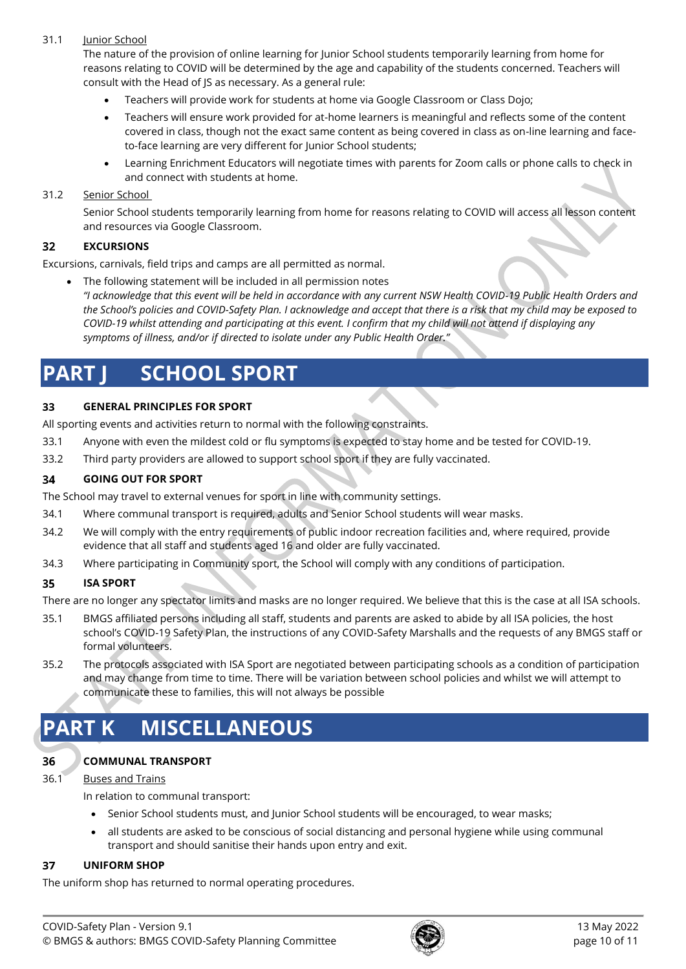# 31.1 Junior School

The nature of the provision of online learning for Junior School students temporarily learning from home for reasons relating to COVID will be determined by the age and capability of the students concerned. Teachers will consult with the Head of JS as necessary. As a general rule:

- Teachers will provide work for students at home via Google Classroom or Class Dojo;
- Teachers will ensure work provided for at-home learners is meaningful and reflects some of the content covered in class, though not the exact same content as being covered in class as on-line learning and faceto-face learning are very different for Junior School students;
- Learning Enrichment Educators will negotiate times with parents for Zoom calls or phone calls to check in and connect with students at home.

### 31.2 Senior School

Senior School students temporarily learning from home for reasons relating to COVID will access all lesson content and resources via Google Classroom.

#### **EXCURSIONS**  $32$

Excursions, carnivals, field trips and camps are all permitted as normal.

• The following statement will be included in all permission notes *"I acknowledge that this event will be held in accordance with any current NSW Health COVID-19 Public Health Orders and the School's policies and COVID-Safety Plan. I acknowledge and accept that there is a risk that my child may be exposed to COVID-19 whilst attending and participating at this event. I confirm that my child will not attend if displaying any symptoms of illness, and/or if directed to isolate under any Public Health Order."*

# **PART J SCHOOL SPORT**

#### 33 **GENERAL PRINCIPLES FOR SPORT**

All sporting events and activities return to normal with the following constraints.

- 33.1 Anyone with even the mildest cold or flu symptoms is expected to stay home and be tested for COVID-19.
- 33.2 Third party providers are allowed to support school sport if they are fully vaccinated.

#### **GOING OUT FOR SPORT** 34

The School may travel to external venues for sport in line with community settings.

- 34.1 Where communal transport is required, adults and Senior School students will wear masks.
- 34.2 We will comply with the entry requirements of public indoor recreation facilities and, where required, provide evidence that all staff and students aged 16 and older are fully vaccinated.
- 34.3 Where participating in Community sport, the School will comply with any conditions of participation.

#### 35 **ISA SPORT**

There are no longer any spectator limits and masks are no longer required. We believe that this is the case at all ISA schools.

- 35.1 BMGS affiliated persons including all staff, students and parents are asked to abide by all ISA policies, the host school's COVID-19 Safety Plan, the instructions of any COVID-Safety Marshalls and the requests of any BMGS staff or formal volunteers.
- 35.2 The protocols associated with ISA Sport are negotiated between participating schools as a condition of participation and may change from time to time. There will be variation between school policies and whilst we will attempt to communicate these to families, this will not always be possible

# **PART K MISCELLANEOUS**

# **COMMUNAL TRANSPORT**

36.1 Buses and Trains

36

In relation to communal transport:

- Senior School students must, and Junior School students will be encouraged, to wear masks;
- all students are asked to be conscious of social distancing and personal hygiene while using communal transport and should sanitise their hands upon entry and exit.

#### 37 **UNIFORM SHOP**

The uniform shop has returned to normal operating procedures.